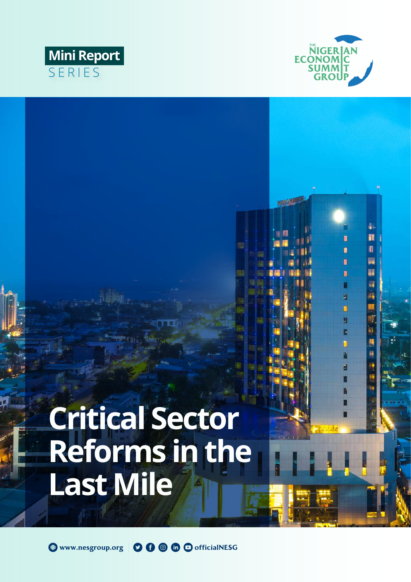

瞿 ħ 瞋 W

i<br>Mil

圚

Π

П п 置 Π F

MARCHINE

# **Mini Report** SERIES

# **Critical Sector Reforms in the Last Mile**

@ www.nesgroup.org | 0 0 6 6 cofficialNESG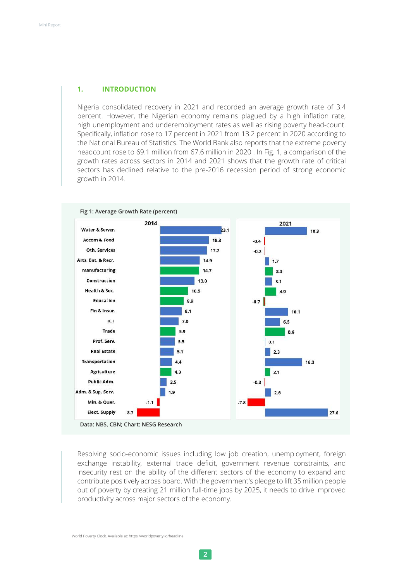#### **1. INTRODUCTION**

Nigeria consolidated recovery in 2021 and recorded an average growth rate of 3.4 percent. However, the Nigerian economy remains plagued by a high inflation rate, high unemployment and underemployment rates as well as rising poverty head-count. Specifically, inflation rose to 17 percent in 2021 from 13.2 percent in 2020 according to the National Bureau of Statistics. The World Bank also reports that the extreme poverty headcount rose to 69.1 million from 67.6 million in 2020 . In Fig. 1, a comparison of the growth rates across sectors in 2014 and 2021 shows that the growth rate of critical sectors has declined relative to the pre-2016 recession period of strong economic growth in 2014.



Resolving socio-economic issues including low job creation, unemployment, foreign exchange instability, external trade deficit, government revenue constraints, and insecurity rest on the ability of the different sectors of the economy to expand and contribute positively across board. With the government's pledge to lift 35 million people out of poverty by creating 21 million full-time jobs by 2025, it needs to drive improved productivity across major sectors of the economy.

World Poverty Clock. Available at: https://worldpoverty.io/headline

**2**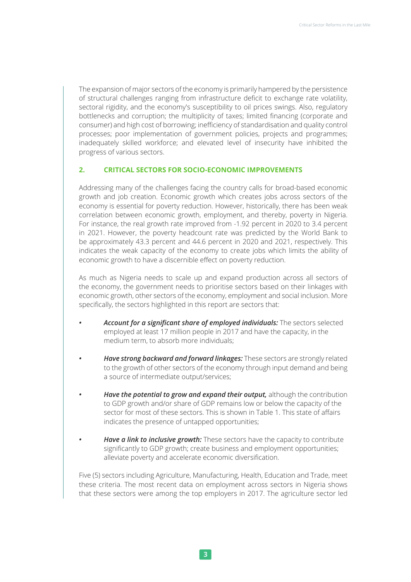The expansion of major sectors of the economy is primarily hampered by the persistence of structural challenges ranging from infrastructure deficit to exchange rate volatility, sectoral rigidity, and the economy's susceptibility to oil prices swings. Also, regulatory bottlenecks and corruption; the multiplicity of taxes; limited financing (corporate and consumer) and high cost of borrowing; inefficiency of standardisation and quality control processes; poor implementation of government policies, projects and programmes; inadequately skilled workforce; and elevated level of insecurity have inhibited the progress of various sectors.

### **2. CRITICAL SECTORS FOR SOCIO-ECONOMIC IMPROVEMENTS**

Addressing many of the challenges facing the country calls for broad-based economic growth and job creation. Economic growth which creates jobs across sectors of the economy is essential for poverty reduction. However, historically, there has been weak correlation between economic growth, employment, and thereby, poverty in Nigeria. For instance, the real growth rate improved from -1.92 percent in 2020 to 3.4 percent in 2021. However, the poverty headcount rate was predicted by the World Bank to be approximately 43.3 percent and 44.6 percent in 2020 and 2021, respectively. This indicates the weak capacity of the economy to create jobs which limits the ability of economic growth to have a discernible effect on poverty reduction.

As much as Nigeria needs to scale up and expand production across all sectors of the economy, the government needs to prioritise sectors based on their linkages with economic growth, other sectors of the economy, employment and social inclusion. More specifically, the sectors highlighted in this report are sectors that:

- *• Account for a significant share of employed individuals:* The sectors selected employed at least 17 million people in 2017 and have the capacity, in the medium term, to absorb more individuals;
- *• Have strong backward and forward linkages:* These sectors are strongly related to the growth of other sectors of the economy through input demand and being a source of intermediate output/services;
- *• Have the potential to grow and expand their output,* although the contribution to GDP growth and/or share of GDP remains low or below the capacity of the sector for most of these sectors. This is shown in Table 1. This state of affairs indicates the presence of untapped opportunities;
- *Have a link to inclusive growth: These sectors have the capacity to contribute* significantly to GDP growth; create business and employment opportunities; alleviate poverty and accelerate economic diversification.

Five (5) sectors including Agriculture, Manufacturing, Health, Education and Trade, meet these criteria. The most recent data on employment across sectors in Nigeria shows that these sectors were among the top employers in 2017. The agriculture sector led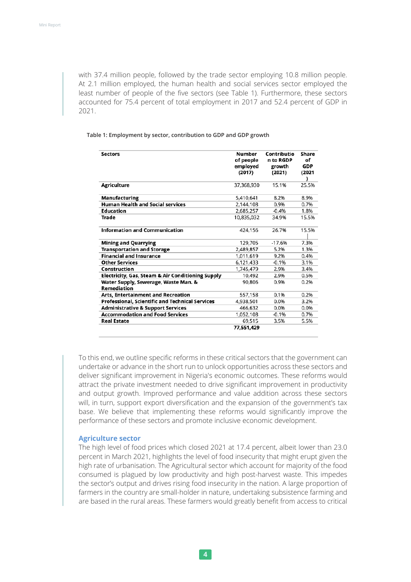with 37.4 million people, followed by the trade sector employing 10.8 million people. At 2.1 million employed, the human health and social services sector employed the least number of people of the five sectors (see Table 1). Furthermore, these sectors accounted for 75.4 percent of total employment in 2017 and 52.4 percent of GDP in 2021.

#### **Table 1: Employment by sector, contribution to GDP and GDP growth**

| <b>Sectors</b>                                             | Number<br>of people<br>employed<br>(2017) | Contributio<br>n to RGDP<br>growth<br>(2021) | Share<br>of<br>GDP<br>(2021 |
|------------------------------------------------------------|-------------------------------------------|----------------------------------------------|-----------------------------|
| <b>Agriculture</b>                                         | 37,368,930                                | 15.1%                                        | 25.5%                       |
| Manufacturing                                              | 5,410,641                                 | 8.2%                                         | 8.9%                        |
| <b>Human Health and Social services</b>                    | 2,144,108                                 | 0.9%                                         | 0.7%                        |
| Education                                                  | 2,685,257                                 | $-0.4%$                                      | 1.8%                        |
| Trade                                                      | 10,835,032                                | 34.9%                                        | 15.5%                       |
| <b>Information and Communication</b>                       | 424,156                                   | 26.7%                                        | 15.5%                       |
| <b>Mining and Quarrying</b>                                | 129,705                                   | $-17.6%$                                     | 7.3%                        |
| <b>Transportation and Storage</b>                          | 2,489,857                                 | 5.2%                                         | 1.3%                        |
| <b>Financial and Insurance</b>                             | 1,011,619                                 | 9.2%                                         | 0.4%                        |
| <b>Other Services</b>                                      | 6,121,433                                 | $-0.1%$                                      | 3.1%                        |
| Construction                                               | 1,745,479                                 | 2.9%                                         | 3.4%                        |
| Electricity, Gas, Steam & Air Conditioning Supply          | 10,492                                    | 2.9%                                         | 0.5%                        |
| Water Supply, Sewerage, Waste Man. &<br><b>Remediation</b> | 90,806                                    | 0.9%                                         | 0.2%                        |
| <b>Arts, Entertainment and Recreation</b>                  | 557,158                                   | 0.1%                                         | 0.2%                        |
| Professional, Scientific and Technical Services            | 4,938,501                                 | 0.0%                                         | 3.2%                        |
| <b>Administrative &amp; Support Services</b>               | 466.632                                   | 0.0%                                         | 0.0%                        |
| <b>Accommodation and Food Services</b>                     | 1,052,108                                 | $-0.1%$                                      | 0.7%                        |
| <b>Real Estate</b>                                         | 69,515                                    | 3.5%                                         | 5.5%                        |
|                                                            | 77.551.429                                |                                              |                             |

To this end, we outline specific reforms in these critical sectors that the government can undertake or advance in the short run to unlock opportunities across these sectors and deliver significant improvement in Nigeria's economic outcomes. These reforms would attract the private investment needed to drive significant improvement in productivity and output growth. Improved performance and value addition across these sectors will, in turn, support export diversification and the expansion of the government's tax base. We believe that implementing these reforms would significantly improve the performance of these sectors and promote inclusive economic development.

#### **Agriculture sector**

The high level of food prices which closed 2021 at 17.4 percent, albeit lower than 23.0 percent in March 2021, highlights the level of food insecurity that might erupt given the high rate of urbanisation. The Agricultural sector which account for majority of the food consumed is plagued by low productivity and high post-harvest waste. This impedes the sector's output and drives rising food insecurity in the nation. A large proportion of farmers in the country are small-holder in nature, undertaking subsistence farming and are based in the rural areas. These farmers would greatly benefit from access to critical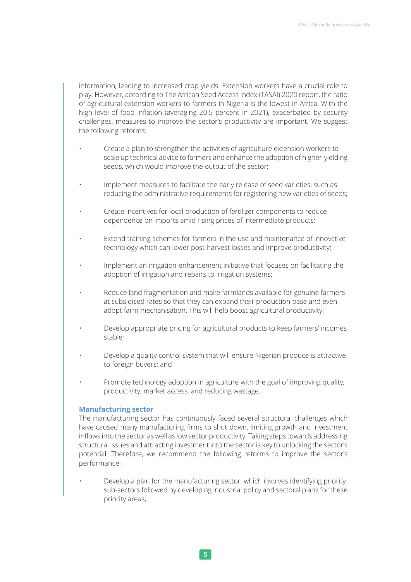information, leading to increased crop yields. Extension workers have a crucial role to play. However, according to The African Seed Access Index (TASAI) 2020 report, the ratio of agricultural extension workers to farmers in Nigeria is the lowest in Africa. With the high level of food inflation (averaging 20.5 percent in 2021), exacerbated by security challenges, measures to improve the sector's productivity are important. We suggest the following reforms:

- Create a plan to strengthen the activities of agriculture extension workers to scale up technical advice to farmers and enhance the adoption of higher-yielding seeds, which would improve the output of the sector;
- Implement measures to facilitate the early release of seed varieties, such as reducing the administrative requirements for registering new varieties of seeds;
- Create incentives for local production of fertilizer components to reduce dependence on imports amid rising prices of intermediate products;
- Extend training schemes for farmers in the use and maintenance of innovative technology which can lower post-harvest losses and improve productivity;
- Implement an irrigation-enhancement initiative that focuses on facilitating the adoption of irrigation and repairs to irrigation systems;
- Reduce land fragmentation and make farmlands available for genuine farmers at subsidised rates so that they can expand their production base and even adopt farm mechanisation. This will help boost agricultural productivity;
- Develop appropriate pricing for agricultural products to keep farmers' incomes stable;
- Develop a quality control system that will ensure Nigerian produce is attractive to foreign buyers; and
- Promote technology adoption in agriculture with the goal of improving quality, productivity, market access, and reducing wastage.

#### **Manufacturing sector**

The manufacturing sector has continuously faced several structural challenges which have caused many manufacturing firms to shut down, limiting growth and investment inflows into the sector as well as low sector productivity. Taking steps towards addressing structural issues and attracting investment into the sector is key to unlocking the sector's potential. Therefore, we recommend the following reforms to improve the sector's performance:

• Develop a plan for the manufacturing sector, which involves identifying priority sub-sectors followed by developing industrial policy and sectoral plans for these priority areas;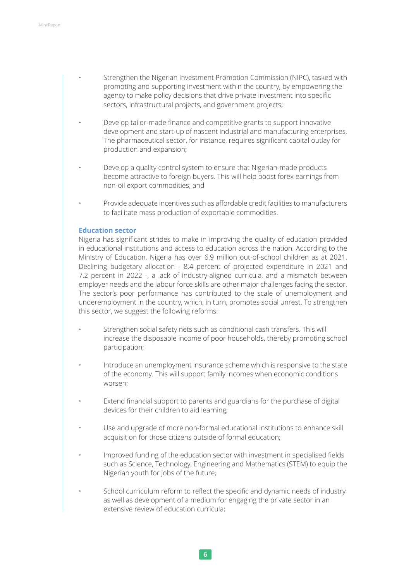- Strengthen the Nigerian Investment Promotion Commission (NIPC), tasked with promoting and supporting investment within the country, by empowering the agency to make policy decisions that drive private investment into specific sectors, infrastructural projects, and government projects;
- Develop tailor-made finance and competitive grants to support innovative development and start-up of nascent industrial and manufacturing enterprises. The pharmaceutical sector, for instance, requires significant capital outlay for production and expansion;
- Develop a quality control system to ensure that Nigerian-made products become attractive to foreign buyers. This will help boost forex earnings from non-oil export commodities; and
	- Provide adequate incentives such as affordable credit facilities to manufacturers to facilitate mass production of exportable commodities.

#### **Education sector**

Nigeria has significant strides to make in improving the quality of education provided in educational institutions and access to education across the nation. According to the Ministry of Education, Nigeria has over 6.9 million out-of-school children as at 2021. Declining budgetary allocation - 8.4 percent of projected expenditure in 2021 and 7.2 percent in 2022 -, a lack of industry-aligned curricula, and a mismatch between employer needs and the labour force skills are other major challenges facing the sector. The sector's poor performance has contributed to the scale of unemployment and underemployment in the country, which, in turn, promotes social unrest. To strengthen this sector, we suggest the following reforms:

- Strengthen social safety nets such as conditional cash transfers. This will increase the disposable income of poor households, thereby promoting school participation;
- Introduce an unemployment insurance scheme which is responsive to the state of the economy. This will support family incomes when economic conditions worsen;
- Extend financial support to parents and guardians for the purchase of digital devices for their children to aid learning;
- Use and upgrade of more non-formal educational institutions to enhance skill acquisition for those citizens outside of formal education;
- Improved funding of the education sector with investment in specialised fields such as Science, Technology, Engineering and Mathematics (STEM) to equip the Nigerian youth for jobs of the future;
- School curriculum reform to reflect the specific and dynamic needs of industry as well as development of a medium for engaging the private sector in an extensive review of education curricula;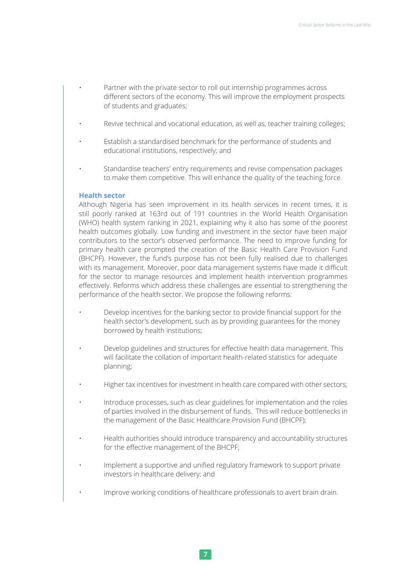- Partner with the private sector to roll out internship programmes across different sectors of the economy. This will improve the employment prospects of students and graduates;
- Revive technical and vocational education, as well as, teacher training colleges;
- Establish a standardised benchmark for the performance of students and educational institutions, respectively; and
- Standardise teachers' entry requirements and revise compensation packages to make them competitive. This will enhance the quality of the teaching force.

#### **Health sector**

Although Nigeria has seen improvement in its health services in recent times, it is still poorly ranked at 163rd out of 191 countries in the World Health Organisation (WHO) health system ranking in 2021, explaining why it also has some of the poorest health outcomes globally. Low funding and investment in the sector have been major contributors to the sector's observed performance. The need to improve funding for primary health care prompted the creation of the Basic Health Care Provision Fund (BHCPF). However, the fund's purpose has not been fully realised due to challenges with its management. Moreover, poor data management systems have made it difficult for the sector to manage resources and implement health intervention programmes effectively. Reforms which address these challenges are essential to strengthening the performance of the health sector. We propose the following reforms:

- Develop incentives for the banking sector to provide financial support for the health sector's development, such as by providing guarantees for the money borrowed by health institutions;
- Develop guidelines and structures for effective health data management. This will facilitate the collation of important health-related statistics for adequate planning;
- Higher tax incentives for investment in health care compared with other sectors;
- Introduce processes, such as clear guidelines for implementation and the roles of parties involved in the disbursement of funds. This will reduce bottlenecks in the management of the Basic Healthcare Provision Fund (BHCPF);
- Health authorities should introduce transparency and accountability structures for the effective management of the BHCPF;
- Implement a supportive and unified regulatory framework to support private investors in healthcare delivery; and
- Improve working conditions of healthcare professionals to avert brain drain.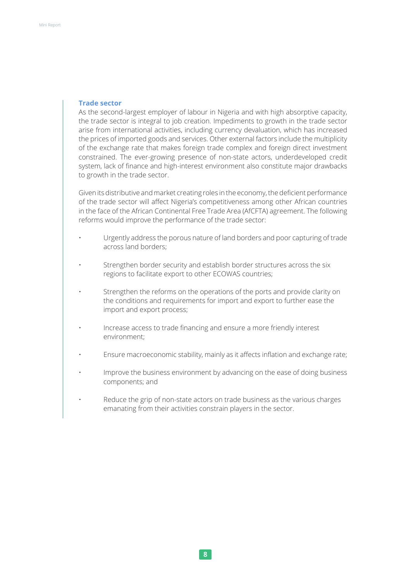#### **Trade sector**

As the second-largest employer of labour in Nigeria and with high absorptive capacity, the trade sector is integral to job creation. Impediments to growth in the trade sector arise from international activities, including currency devaluation, which has increased the prices of imported goods and services. Other external factors include the multiplicity of the exchange rate that makes foreign trade complex and foreign direct investment constrained. The ever-growing presence of non-state actors, underdeveloped credit system, lack of finance and high-interest environment also constitute major drawbacks to growth in the trade sector.

Given its distributive and market creating roles in the economy, the deficient performance of the trade sector will affect Nigeria's competitiveness among other African countries in the face of the African Continental Free Trade Area (AfCFTA) agreement. The following reforms would improve the performance of the trade sector:

- Urgently address the porous nature of land borders and poor capturing of trade across land borders;
- Strengthen border security and establish border structures across the six regions to facilitate export to other ECOWAS countries;
- Strengthen the reforms on the operations of the ports and provide clarity on the conditions and requirements for import and export to further ease the import and export process;
- Increase access to trade financing and ensure a more friendly interest environment;
- Ensure macroeconomic stability, mainly as it affects inflation and exchange rate;
- Improve the business environment by advancing on the ease of doing business components; and
- Reduce the grip of non-state actors on trade business as the various charges emanating from their activities constrain players in the sector.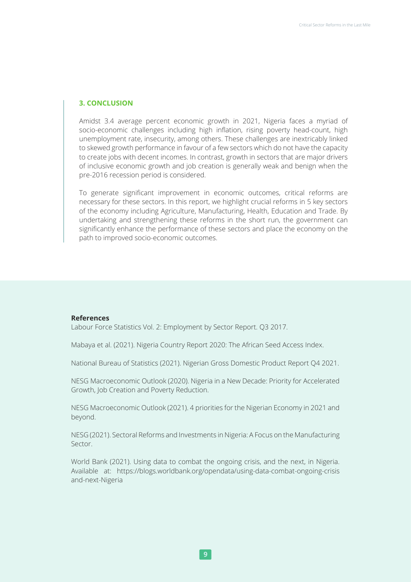#### **3. CONCLUSION**

Amidst 3.4 average percent economic growth in 2021, Nigeria faces a myriad of socio-economic challenges including high inflation, rising poverty head-count, high unemployment rate, insecurity, among others. These challenges are inextricably linked to skewed growth performance in favour of a few sectors which do not have the capacity to create jobs with decent incomes. In contrast, growth in sectors that are major drivers of inclusive economic growth and job creation is generally weak and benign when the pre-2016 recession period is considered.

To generate significant improvement in economic outcomes, critical reforms are necessary for these sectors. In this report, we highlight crucial reforms in 5 key sectors of the economy including Agriculture, Manufacturing, Health, Education and Trade. By undertaking and strengthening these reforms in the short run, the government can significantly enhance the performance of these sectors and place the economy on the path to improved socio-economic outcomes.

#### **References**

Labour Force Statistics Vol. 2: Employment by Sector Report. Q3 2017.

Mabaya et al. (2021). Nigeria Country Report 2020: The African Seed Access Index.

National Bureau of Statistics (2021). Nigerian Gross Domestic Product Report Q4 2021.

NESG Macroeconomic Outlook (2020). Nigeria in a New Decade: Priority for Accelerated Growth, Job Creation and Poverty Reduction.

NESG Macroeconomic Outlook (2021). 4 priorities for the Nigerian Economy in 2021 and beyond.

NESG (2021). Sectoral Reforms and Investments in Nigeria: A Focus on the Manufacturing Sector.

World Bank (2021). Using data to combat the ongoing crisis, and the next, in Nigeria. Available at: https://blogs.worldbank.org/opendata/using-data-combat-ongoing-crisis and-next-Nigeria